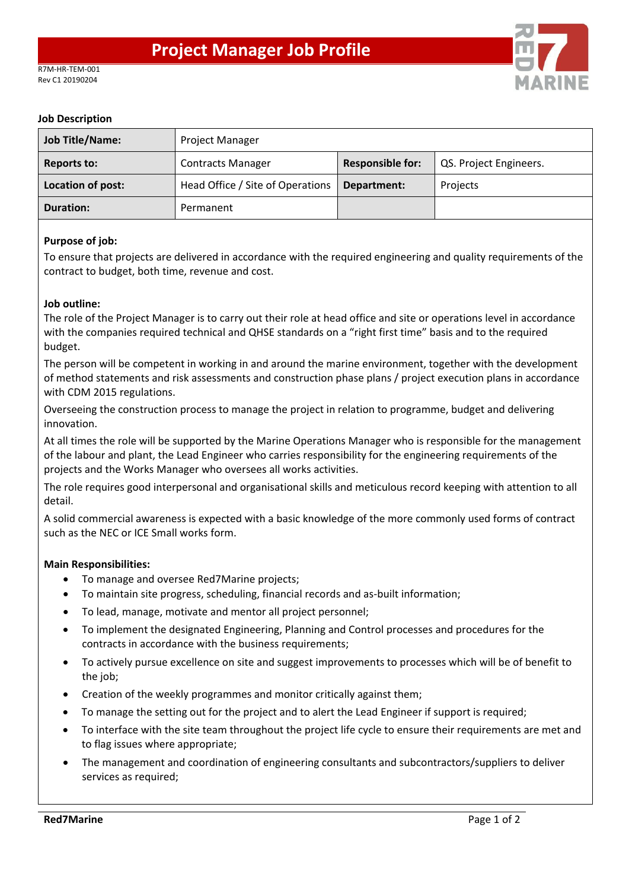

### **Job Description**

| <b>Job Title/Name:</b> | <b>Project Manager</b>           |                         |                        |
|------------------------|----------------------------------|-------------------------|------------------------|
| <b>Reports to:</b>     | <b>Contracts Manager</b>         | <b>Responsible for:</b> | QS. Project Engineers. |
| Location of post:      | Head Office / Site of Operations | Department:             | Projects               |
| <b>Duration:</b>       | Permanent                        |                         |                        |

# **Purpose of job:**

To ensure that projects are delivered in accordance with the required engineering and quality requirements of the contract to budget, both time, revenue and cost.

# **Job outline:**

The role of the Project Manager is to carry out their role at head office and site or operations level in accordance with the companies required technical and QHSE standards on a "right first time" basis and to the required budget.

The person will be competent in working in and around the marine environment, together with the development of method statements and risk assessments and construction phase plans / project execution plans in accordance with CDM 2015 regulations.

Overseeing the construction process to manage the project in relation to programme, budget and delivering innovation.

At all times the role will be supported by the Marine Operations Manager who is responsible for the management of the labour and plant, the Lead Engineer who carries responsibility for the engineering requirements of the projects and the Works Manager who oversees all works activities.

The role requires good interpersonal and organisational skills and meticulous record keeping with attention to all detail.

A solid commercial awareness is expected with a basic knowledge of the more commonly used forms of contract such as the NEC or ICE Small works form.

#### **Main Responsibilities:**

- To manage and oversee Red7Marine projects;
- To maintain site progress, scheduling, financial records and as-built information;
- To lead, manage, motivate and mentor all project personnel;
- To implement the designated Engineering, Planning and Control processes and procedures for the contracts in accordance with the business requirements;
- To actively pursue excellence on site and suggest improvements to processes which will be of benefit to the job;
- Creation of the weekly programmes and monitor critically against them;
- To manage the setting out for the project and to alert the Lead Engineer if support is required;
- To interface with the site team throughout the project life cycle to ensure their requirements are met and to flag issues where appropriate;
- The management and coordination of engineering consultants and subcontractors/suppliers to deliver services as required;